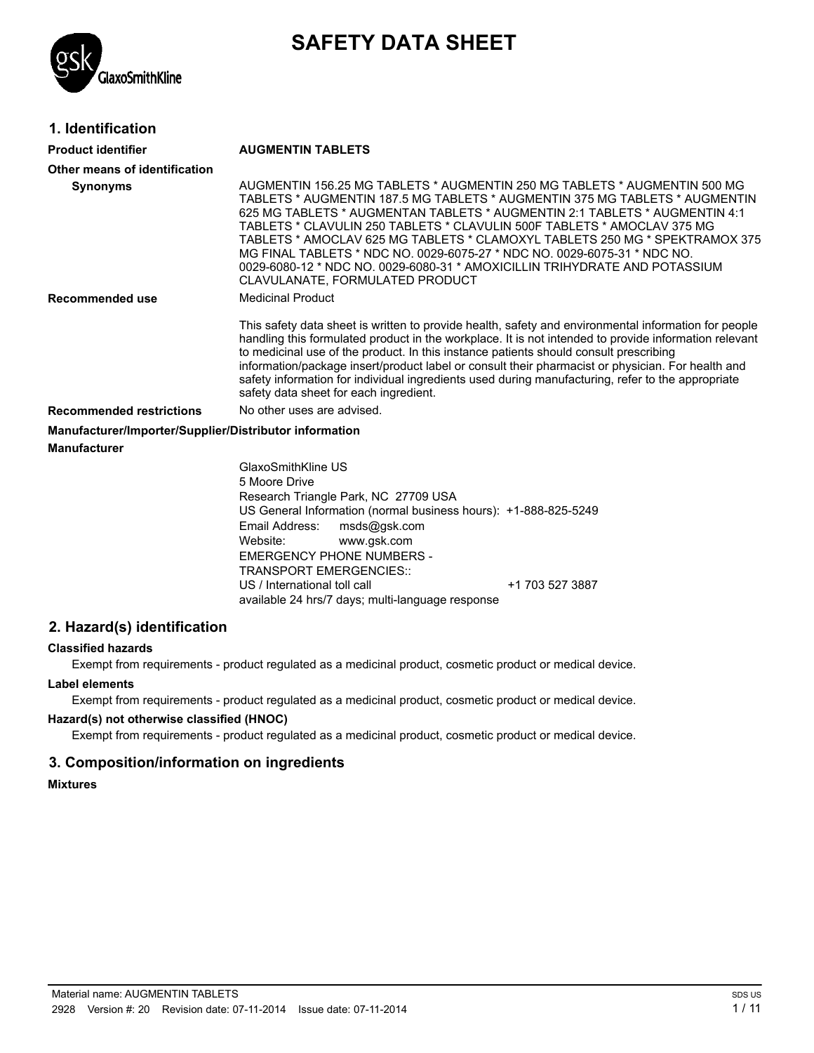

# **SAFETY DATA SHEET**

## **1. Identification**

#### **Product identifier AUGMENTIN TABLETS**

| Other means of identification                          |                                                                                                                                                                                                                                                                                                                                                                                                                                                                                                                                                                                               |
|--------------------------------------------------------|-----------------------------------------------------------------------------------------------------------------------------------------------------------------------------------------------------------------------------------------------------------------------------------------------------------------------------------------------------------------------------------------------------------------------------------------------------------------------------------------------------------------------------------------------------------------------------------------------|
| <b>Synonyms</b>                                        | AUGMENTIN 156.25 MG TABLETS * AUGMENTIN 250 MG TABLETS * AUGMENTIN 500 MG<br>TABLETS * AUGMENTIN 187.5 MG TABLETS * AUGMENTIN 375 MG TABLETS * AUGMENTIN<br>625 MG TABLETS * AUGMENTAN TABLETS * AUGMENTIN 2:1 TABLETS * AUGMENTIN 4:1<br>TABLETS * CLAVULIN 250 TABLETS * CLAVULIN 500F TABLETS * AMOCLAV 375 MG<br>TABLETS * AMOCLAV 625 MG TABLETS * CLAMOXYL TABLETS 250 MG * SPEKTRAMOX 375<br>MG FINAL TABLETS * NDC NO. 0029-6075-27 * NDC NO. 0029-6075-31 * NDC NO.<br>0029-6080-12 * NDC NO. 0029-6080-31 * AMOXICILLIN TRIHYDRATE AND POTASSIUM<br>CLAVULANATE, FORMULATED PRODUCT |
| Recommended use                                        | <b>Medicinal Product</b>                                                                                                                                                                                                                                                                                                                                                                                                                                                                                                                                                                      |
|                                                        | This safety data sheet is written to provide health, safety and environmental information for people<br>handling this formulated product in the workplace. It is not intended to provide information relevant<br>to medicinal use of the product. In this instance patients should consult prescribing<br>information/package insert/product label or consult their pharmacist or physician. For health and<br>safety information for individual ingredients used during manufacturing, refer to the appropriate<br>safety data sheet for each ingredient.                                    |
| <b>Recommended restrictions</b>                        | No other uses are advised.                                                                                                                                                                                                                                                                                                                                                                                                                                                                                                                                                                    |
| Manufacturer/Importer/Supplier/Distributor information |                                                                                                                                                                                                                                                                                                                                                                                                                                                                                                                                                                                               |
| <b>Manufacturer</b>                                    |                                                                                                                                                                                                                                                                                                                                                                                                                                                                                                                                                                                               |
|                                                        | GlaxoSmithKline US<br>5 Moore Drive<br>Research Triangle Park, NC 27709 USA<br>US General Information (normal business hours): +1-888-825-5249<br>Email Address:<br>msds@gsk.com<br>Website:<br>www.gsk.com                                                                                                                                                                                                                                                                                                                                                                                   |

US / International toll call  $\overline{u}$  +1 703 527 3887

**Label elements**

**2. Hazard(s) identification**

**Classified hazards**

Exempt from requirements - product regulated as a medicinal product, cosmetic product or medical device.

Exempt from requirements - product regulated as a medicinal product, cosmetic product or medical device.

available 24 hrs/7 days; multi-language response

EMERGENCY PHONE NUMBERS - TRANSPORT EMERGENCIES::

#### **Hazard(s) not otherwise classified (HNOC)**

Exempt from requirements - product regulated as a medicinal product, cosmetic product or medical device.

#### **3. Composition/information on ingredients**

**Mixtures**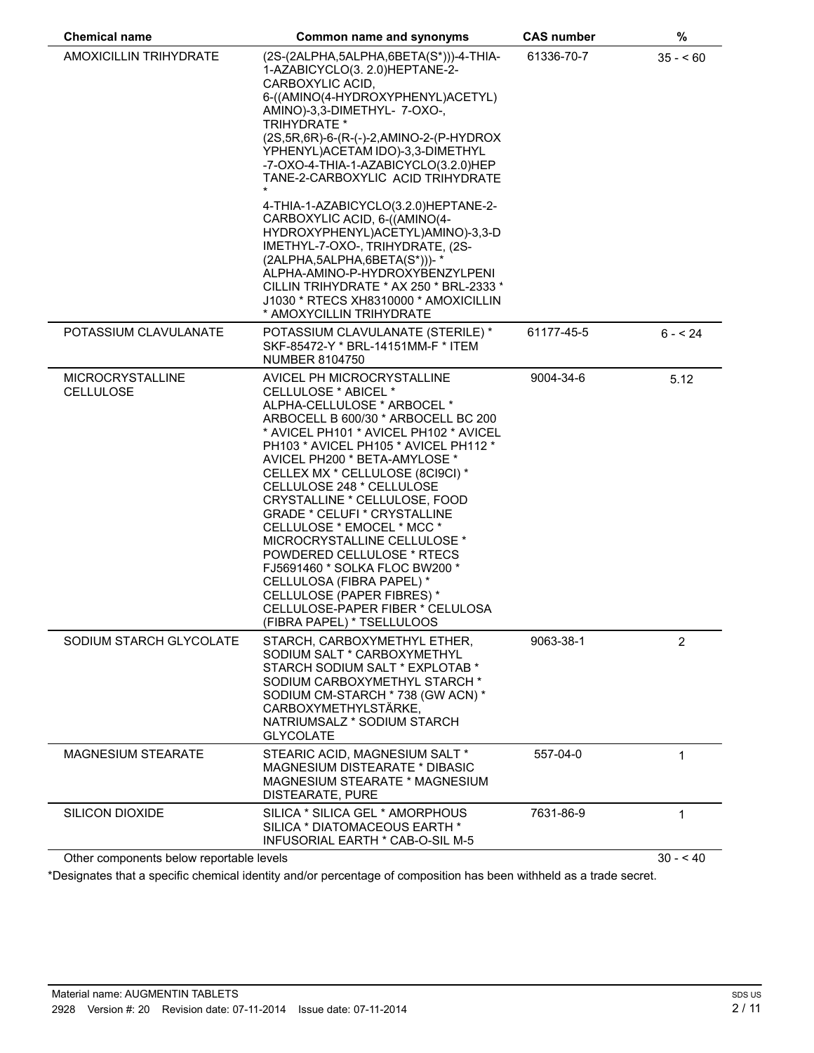| <b>Chemical name</b>                        | <b>Common name and synonyms</b>                                                                                                                                                                                                                                                                                                                                                                                                                                                                                                                                                                                                                                                              | <b>CAS number</b> | %              |
|---------------------------------------------|----------------------------------------------------------------------------------------------------------------------------------------------------------------------------------------------------------------------------------------------------------------------------------------------------------------------------------------------------------------------------------------------------------------------------------------------------------------------------------------------------------------------------------------------------------------------------------------------------------------------------------------------------------------------------------------------|-------------------|----------------|
| <b>AMOXICILLIN TRIHYDRATE</b>               | (2S-(2ALPHA,5ALPHA,6BETA(S*)))-4-THIA-<br>1-AZABICYCLO(3. 2.0)HEPTANE-2-<br>CARBOXYLIC ACID,<br>6-((AMINO(4-HYDROXYPHENYL)ACETYL)<br>AMINO)-3,3-DIMETHYL- 7-OXO-,<br><b>TRIHYDRATE *</b><br>(2S,5R,6R)-6-(R-(-)-2,AMINO-2-(P-HYDROX<br>YPHENYL) ACETAM IDO)-3,3-DIMETHYL<br>-7-OXO-4-THIA-1-AZABICYCLO(3.2.0)HEP<br>TANE-2-CARBOXYLIC ACID TRIHYDRATE<br>4-THIA-1-AZABICYCLO(3.2.0)HEPTANE-2-<br>CARBOXYLIC ACID, 6-((AMINO(4-<br>HYDROXYPHENYL)ACETYL)AMINO)-3,3-D<br>IMETHYL-7-OXO-, TRIHYDRATE, (2S-<br>(2ALPHA, 5ALPHA, 6BETA(S*)))-*<br>ALPHA-AMINO-P-HYDROXYBENZYLPENI<br>CILLIN TRIHYDRATE * AX 250 * BRL-2333 *<br>J1030 * RTECS XH8310000 * AMOXICILLIN<br>* AMOXYCILLIN TRIHYDRATE | 61336-70-7        | $35 - 60$      |
| POTASSIUM CLAVULANATE                       | POTASSIUM CLAVULANATE (STERILE) *<br>SKF-85472-Y * BRL-14151MM-F * ITEM<br><b>NUMBER 8104750</b>                                                                                                                                                                                                                                                                                                                                                                                                                                                                                                                                                                                             | 61177-45-5        | $6 - 24$       |
| <b>MICROCRYSTALLINE</b><br><b>CELLULOSE</b> | AVICEL PH MICROCRYSTALLINE<br>CELLULOSE * ABICEL *<br>ALPHA-CELLULOSE * ARBOCEL *<br>ARBOCELL B 600/30 * ARBOCELL BC 200<br>* AVICEL PH101 * AVICEL PH102 * AVICEL<br>PH103 * AVICEL PH105 * AVICEL PH112 *<br>AVICEL PH200 * BETA-AMYLOSE *<br>CELLEX MX * CELLULOSE (8CI9CI) *<br>CELLULOSE 248 * CELLULOSE<br>CRYSTALLINE * CELLULOSE, FOOD<br><b>GRADE * CELUFI * CRYSTALLINE</b><br>CELLULOSE * EMOCEL * MCC *<br>MICROCRYSTALLINE CELLULOSE *<br>POWDERED CELLULOSE * RTECS<br>FJ5691460 * SOLKA FLOC BW200 *<br>CELLULOSA (FIBRA PAPEL) *<br>CELLULOSE (PAPER FIBRES) *<br>CELLULOSE-PAPER FIBER * CELULOSA<br>(FIBRA PAPEL) * TSELLULOOS                                             | 9004-34-6         | 5.12           |
| SODIUM STARCH GLYCOLATE                     | STARCH, CARBOXYMETHYL ETHER,<br>SODIUM SALT * CARBOXYMETHYL<br>STARCH SODIUM SALT * EXPLOTAB *<br>SODIUM CARBOXYMETHYL STARCH *<br>SODIUM CM-STARCH * 738 (GW ACN) *<br>CARBOXYMETHYLSTÄRKE,<br>NATRIUMSALZ * SODIUM STARCH<br><b>GLYCOLATE</b>                                                                                                                                                                                                                                                                                                                                                                                                                                              | 9063-38-1         | $\overline{2}$ |
| <b>MAGNESIUM STEARATE</b>                   | STEARIC ACID, MAGNESIUM SALT *<br>MAGNESIUM DISTEARATE * DIBASIC<br>MAGNESIUM STEARATE * MAGNESIUM<br>DISTEARATE, PURE                                                                                                                                                                                                                                                                                                                                                                                                                                                                                                                                                                       | 557-04-0          | 1              |
| <b>SILICON DIOXIDE</b>                      | SILICA * SILICA GEL * AMORPHOUS<br>SILICA * DIATOMACEOUS EARTH *<br>INFUSORIAL EARTH * CAB-O-SIL M-5                                                                                                                                                                                                                                                                                                                                                                                                                                                                                                                                                                                         | 7631-86-9         | 1              |
| Other components below reportable levels    |                                                                                                                                                                                                                                                                                                                                                                                                                                                                                                                                                                                                                                                                                              |                   | $30 - 40$      |

\*Designates that a specific chemical identity and/or percentage of composition has been withheld as a trade secret.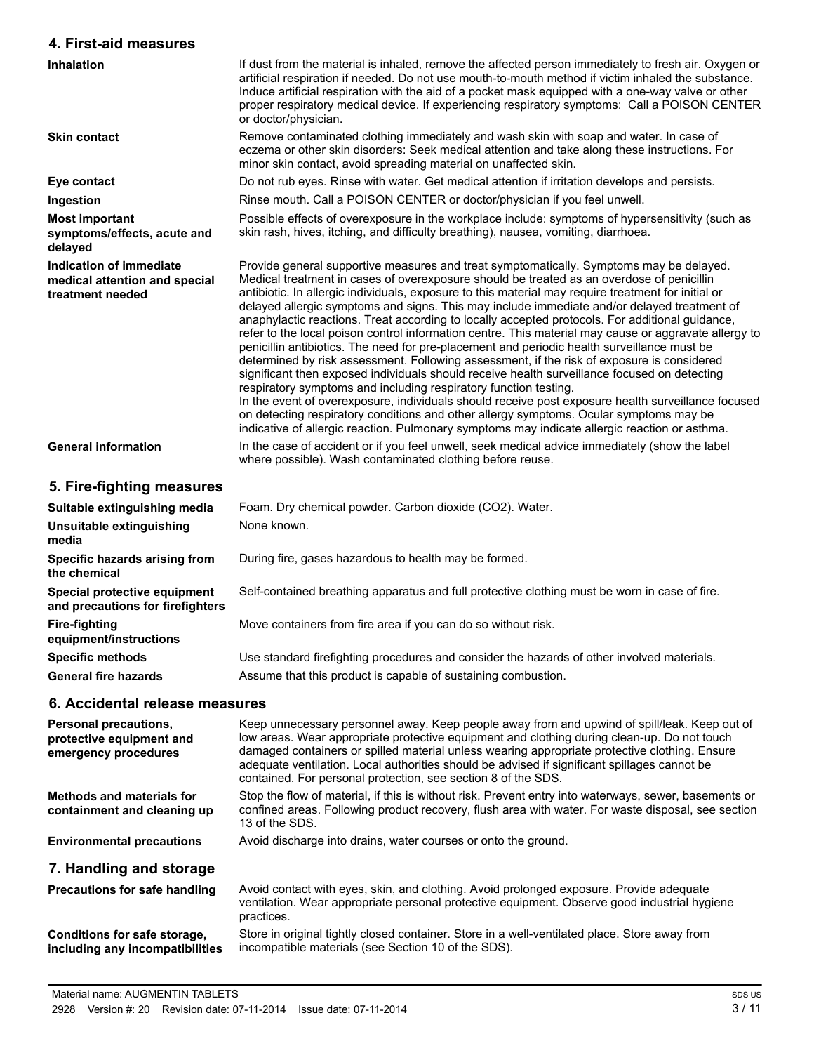#### **4. First-aid measures Inhalation** If dust from the material is inhaled, remove the affected person immediately to fresh air. Oxygen or artificial respiration if needed. Do not use mouth-to-mouth method if victim inhaled the substance. Induce artificial respiration with the aid of a pocket mask equipped with a one-way valve or other proper respiratory medical device. If experiencing respiratory symptoms: Call a POISON CENTER or doctor/physician. **Skin contact** Remove contaminated clothing immediately and wash skin with soap and water. In case of eczema or other skin disorders: Seek medical attention and take along these instructions. For minor skin contact, avoid spreading material on unaffected skin. **Eye contact** Do not rub eyes. Rinse with water. Get medical attention if irritation develops and persists. **Ingestion** Rinse mouth. Call a POISON CENTER or doctor/physician if you feel unwell. **Most important symptoms/effects, acute and delayed** Possible effects of overexposure in the workplace include: symptoms of hypersensitivity (such as skin rash, hives, itching, and difficulty breathing), nausea, vomiting, diarrhoea. **Indication of immediate medical attention and special treatment needed** Provide general supportive measures and treat symptomatically. Symptoms may be delayed. Medical treatment in cases of overexposure should be treated as an overdose of penicillin antibiotic. In allergic individuals, exposure to this material may require treatment for initial or delayed allergic symptoms and signs. This may include immediate and/or delayed treatment of anaphylactic reactions. Treat according to locally accepted protocols. For additional guidance, refer to the local poison control information centre. This material may cause or aggravate allergy to penicillin antibiotics. The need for pre-placement and periodic health surveillance must be determined by risk assessment. Following assessment, if the risk of exposure is considered significant then exposed individuals should receive health surveillance focused on detecting respiratory symptoms and including respiratory function testing. In the event of overexposure, individuals should receive post exposure health surveillance focused on detecting respiratory conditions and other allergy symptoms. Ocular symptoms may be indicative of allergic reaction. Pulmonary symptoms may indicate allergic reaction or asthma. General information **In the case of accident or if you feel unwell, seek medical advice immediately (show the label** where possible). Wash contaminated clothing before reuse. **5. Fire-fighting measures Suitable extinguishing media** Foam. Dry chemical powder. Carbon dioxide (CO2). Water. **Unsuitable extinguishing media** None known. **Specific hazards arising from the chemical** During fire, gases hazardous to health may be formed. **Special protective equipment and precautions for firefighters** Self-contained breathing apparatus and full protective clothing must be worn in case of fire. **Fire-fighting equipment/instructions** Move containers from fire area if you can do so without risk. **Specific methods** Use standard firefighting procedures and consider the hazards of other involved materials. **General fire hazards** Assume that this product is capable of sustaining combustion.

#### **6. Accidental release measures**

| <b>Personal precautions,</b><br>protective equipment and<br>emergency procedures | Keep unnecessary personnel away. Keep people away from and upwind of spill/leak. Keep out of<br>low areas. Wear appropriate protective equipment and clothing during clean-up. Do not touch<br>damaged containers or spilled material unless wearing appropriate protective clothing. Ensure<br>adequate ventilation. Local authorities should be advised if significant spillages cannot be<br>contained. For personal protection, see section 8 of the SDS. |
|----------------------------------------------------------------------------------|---------------------------------------------------------------------------------------------------------------------------------------------------------------------------------------------------------------------------------------------------------------------------------------------------------------------------------------------------------------------------------------------------------------------------------------------------------------|
| <b>Methods and materials for</b><br>containment and cleaning up                  | Stop the flow of material, if this is without risk. Prevent entry into waterways, sewer, basements or<br>confined areas. Following product recovery, flush area with water. For waste disposal, see section<br>13 of the SDS.                                                                                                                                                                                                                                 |
| <b>Environmental precautions</b>                                                 | Avoid discharge into drains, water courses or onto the ground.                                                                                                                                                                                                                                                                                                                                                                                                |
| 7. Handling and storage                                                          |                                                                                                                                                                                                                                                                                                                                                                                                                                                               |
| <b>Precautions for safe handling</b>                                             | Avoid contact with eyes, skin, and clothing. Avoid prolonged exposure. Provide adequate<br>ventilation. Wear appropriate personal protective equipment. Observe good industrial hygiene<br>practices.                                                                                                                                                                                                                                                         |
| Conditions for safe storage,<br>including any incompatibilities                  | Store in original tightly closed container. Store in a well-ventilated place. Store away from<br>incompatible materials (see Section 10 of the SDS).                                                                                                                                                                                                                                                                                                          |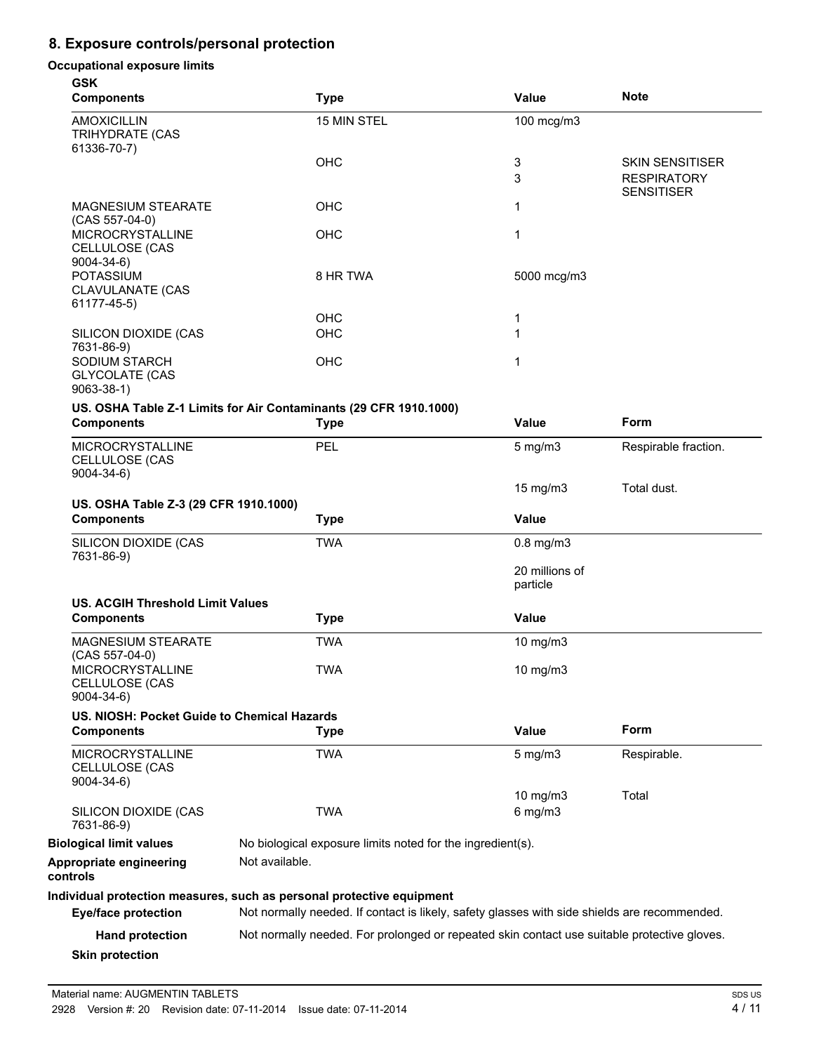## **8. Exposure controls/personal protection**

#### **Occupational exposure limits**

| <b>GSK</b><br><b>Components</b>                                  | <b>Type</b>                                                                                                                                                           | <b>Value</b>               | <b>Note</b>                                                       |
|------------------------------------------------------------------|-----------------------------------------------------------------------------------------------------------------------------------------------------------------------|----------------------------|-------------------------------------------------------------------|
| <b>AMOXICILLIN</b><br>TRIHYDRATE (CAS<br>61336-70-7)             | 15 MIN STEL                                                                                                                                                           | 100 mcg/m3                 |                                                                   |
|                                                                  | <b>OHC</b>                                                                                                                                                            | 3<br>3                     | <b>SKIN SENSITISER</b><br><b>RESPIRATORY</b><br><b>SENSITISER</b> |
| <b>MAGNESIUM STEARATE</b><br>$(CAS 557-04-0)$                    | OHC                                                                                                                                                                   | 1                          |                                                                   |
| <b>MICROCRYSTALLINE</b><br>CELLULOSE (CAS<br>$9004 - 34 - 6$     | <b>OHC</b>                                                                                                                                                            | 1                          |                                                                   |
| <b>POTASSIUM</b><br><b>CLAVULANATE (CAS</b><br>61177-45-5)       | 8 HR TWA                                                                                                                                                              | 5000 mcg/m3                |                                                                   |
|                                                                  | <b>OHC</b>                                                                                                                                                            | 1                          |                                                                   |
| SILICON DIOXIDE (CAS<br>7631-86-9)                               | OHC                                                                                                                                                                   | 1                          |                                                                   |
| <b>SODIUM STARCH</b><br><b>GLYCOLATE (CAS</b><br>$9063 - 38 - 1$ | <b>OHC</b>                                                                                                                                                            | 1                          |                                                                   |
|                                                                  | US. OSHA Table Z-1 Limits for Air Contaminants (29 CFR 1910.1000)                                                                                                     |                            |                                                                   |
| <b>Components</b>                                                | <b>Type</b>                                                                                                                                                           | Value                      | <b>Form</b>                                                       |
| <b>MICROCRYSTALLINE</b><br>CELLULOSE (CAS<br>$9004 - 34 - 6$     | PEL                                                                                                                                                                   | $5$ mg/m $3$               | Respirable fraction.                                              |
| US. OSHA Table Z-3 (29 CFR 1910.1000)                            |                                                                                                                                                                       | $15 \text{ mg/m}$          | Total dust.                                                       |
| <b>Components</b>                                                | <b>Type</b>                                                                                                                                                           | <b>Value</b>               |                                                                   |
| SILICON DIOXIDE (CAS<br>7631-86-9)                               | <b>TWA</b>                                                                                                                                                            | $0.8$ mg/m $3$             |                                                                   |
|                                                                  |                                                                                                                                                                       | 20 millions of<br>particle |                                                                   |
| <b>US. ACGIH Threshold Limit Values</b><br><b>Components</b>     | <b>Type</b>                                                                                                                                                           | Value                      |                                                                   |
| MAGNESIUM STEARATE<br>(CAS 557-04-0)                             | <b>TWA</b>                                                                                                                                                            | 10 mg/m3                   |                                                                   |
| MICROCRYSTALLINE<br>CELLULOSE (CAS<br>$9004 - 34 - 6$            | <b>TWA</b>                                                                                                                                                            | 10 mg/m $3$                |                                                                   |
| US. NIOSH: Pocket Guide to Chemical Hazards<br><b>Components</b> | <b>Type</b>                                                                                                                                                           | Value                      | Form                                                              |
| <b>MICROCRYSTALLINE</b><br>CELLULOSE (CAS<br>$9004 - 34 - 6$     | <b>TWA</b>                                                                                                                                                            | $5$ mg/m $3$               | Respirable.                                                       |
| SILICON DIOXIDE (CAS<br>7631-86-9)                               | <b>TWA</b>                                                                                                                                                            | 10 mg/m3<br>$6$ mg/m $3$   | Total                                                             |
| <b>Biological limit values</b>                                   | No biological exposure limits noted for the ingredient(s).                                                                                                            |                            |                                                                   |
| Appropriate engineering<br>controls                              | Not available.                                                                                                                                                        |                            |                                                                   |
| <b>Eye/face protection</b>                                       | Individual protection measures, such as personal protective equipment<br>Not normally needed. If contact is likely, safety glasses with side shields are recommended. |                            |                                                                   |
|                                                                  |                                                                                                                                                                       |                            |                                                                   |
| <b>Hand protection</b><br><b>Skin protection</b>                 | Not normally needed. For prolonged or repeated skin contact use suitable protective gloves.                                                                           |                            |                                                                   |
|                                                                  |                                                                                                                                                                       |                            |                                                                   |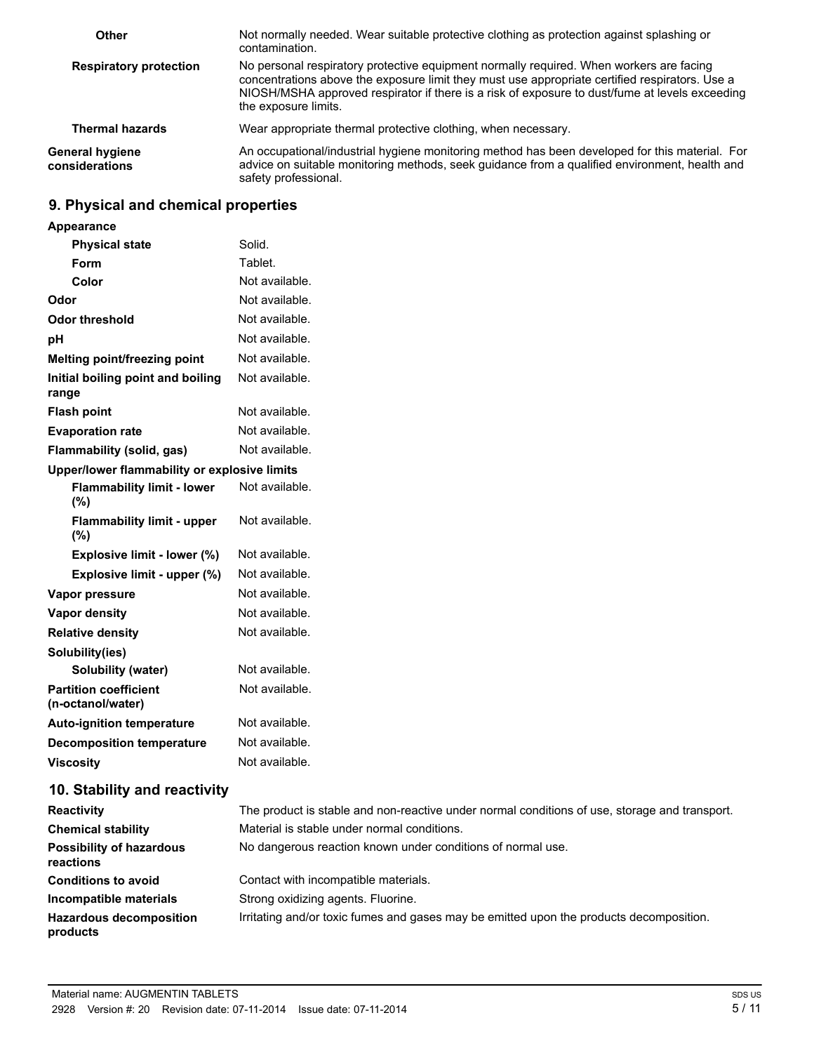| Other                                    | Not normally needed. Wear suitable protective clothing as protection against splashing or<br>contamination.                                                                                                                                                                                                         |
|------------------------------------------|---------------------------------------------------------------------------------------------------------------------------------------------------------------------------------------------------------------------------------------------------------------------------------------------------------------------|
| <b>Respiratory protection</b>            | No personal respiratory protective equipment normally required. When workers are facing<br>concentrations above the exposure limit they must use appropriate certified respirators. Use a<br>NIOSH/MSHA approved respirator if there is a risk of exposure to dust/fume at levels exceeding<br>the exposure limits. |
| <b>Thermal hazards</b>                   | Wear appropriate thermal protective clothing, when necessary.                                                                                                                                                                                                                                                       |
| <b>General hygiene</b><br>considerations | An occupational/industrial hygiene monitoring method has been developed for this material. For<br>advice on suitable monitoring methods, seek guidance from a qualified environment, health and<br>safety professional.                                                                                             |

## **9. Physical and chemical properties**

| <b>Appearance</b>                                 |                |
|---------------------------------------------------|----------------|
| <b>Physical state</b>                             | Solid.         |
| Form                                              | Tablet.        |
| Color                                             | Not available. |
| Odor                                              | Not available. |
| Odor threshold                                    | Not available. |
| рH                                                | Not available. |
| Melting point/freezing point                      | Not available. |
| Initial boiling point and boiling<br>range        | Not available. |
| <b>Flash point</b>                                | Not available. |
| <b>Evaporation rate</b>                           | Not available. |
| <b>Flammability (solid, gas)</b>                  | Not available. |
| Upper/lower flammability or explosive limits      |                |
| <b>Flammability limit - lower</b><br>(%)          | Not available. |
| <b>Flammability limit - upper</b><br>(%)          | Not available. |
| Explosive limit - lower (%)                       | Not available. |
| Explosive limit - upper (%)                       | Not available. |
| Vapor pressure                                    | Not available. |
| <b>Vapor density</b>                              | Not available. |
| <b>Relative density</b>                           | Not available. |
| Solubility(ies)                                   |                |
| <b>Solubility (water)</b>                         | Not available. |
| <b>Partition coefficient</b><br>(n-octanol/water) | Not available. |
| <b>Auto-ignition temperature</b>                  | Not available. |
| <b>Decomposition temperature</b>                  | Not available. |
| <b>Viscosity</b>                                  | Not available. |
|                                                   |                |

# **10. Stability and reactivity**

| <b>Reactivity</b>                            | The product is stable and non-reactive under normal conditions of use, storage and transport. |
|----------------------------------------------|-----------------------------------------------------------------------------------------------|
| <b>Chemical stability</b>                    | Material is stable under normal conditions.                                                   |
| <b>Possibility of hazardous</b><br>reactions | No dangerous reaction known under conditions of normal use.                                   |
| <b>Conditions to avoid</b>                   | Contact with incompatible materials.                                                          |
| Incompatible materials                       | Strong oxidizing agents. Fluorine.                                                            |
| <b>Hazardous decomposition</b><br>products   | Irritating and/or toxic fumes and gases may be emitted upon the products decomposition.       |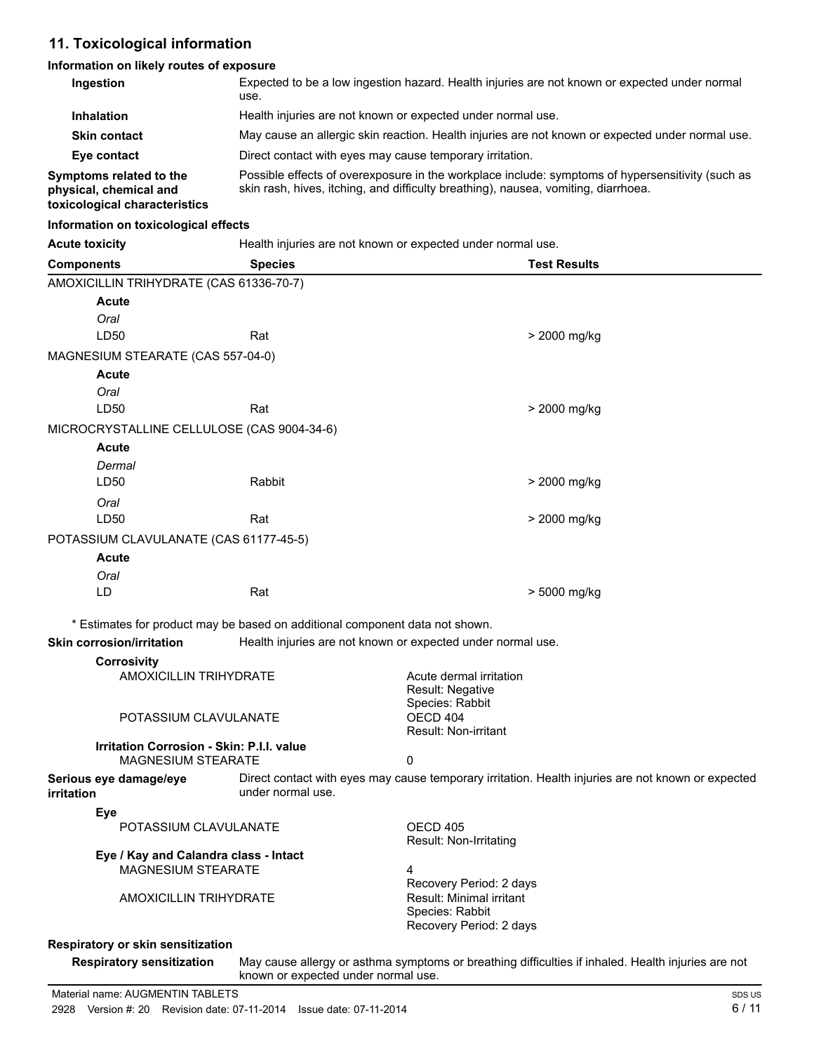## **11. Toxicological information**

#### **Information on likely routes of exposure**

| Ingestion                                                                          | use.                                                                               |                                                                                                   | Expected to be a low ingestion hazard. Health injuries are not known or expected under normal      |
|------------------------------------------------------------------------------------|------------------------------------------------------------------------------------|---------------------------------------------------------------------------------------------------|----------------------------------------------------------------------------------------------------|
| <b>Inhalation</b>                                                                  | Health injuries are not known or expected under normal use.                        |                                                                                                   |                                                                                                    |
| <b>Skin contact</b>                                                                |                                                                                    |                                                                                                   | May cause an allergic skin reaction. Health injuries are not known or expected under normal use.   |
| Eye contact                                                                        | Direct contact with eyes may cause temporary irritation.                           |                                                                                                   |                                                                                                    |
| Symptoms related to the<br>physical, chemical and<br>toxicological characteristics | skin rash, hives, itching, and difficulty breathing), nausea, vomiting, diarrhoea. |                                                                                                   | Possible effects of overexposure in the workplace include: symptoms of hypersensitivity (such as   |
| Information on toxicological effects                                               |                                                                                    |                                                                                                   |                                                                                                    |
| <b>Acute toxicity</b>                                                              | Health injuries are not known or expected under normal use.                        |                                                                                                   |                                                                                                    |
| <b>Components</b>                                                                  | <b>Species</b>                                                                     |                                                                                                   | <b>Test Results</b>                                                                                |
| AMOXICILLIN TRIHYDRATE (CAS 61336-70-7)                                            |                                                                                    |                                                                                                   |                                                                                                    |
| <b>Acute</b>                                                                       |                                                                                    |                                                                                                   |                                                                                                    |
| Oral                                                                               |                                                                                    |                                                                                                   |                                                                                                    |
| LD50                                                                               | Rat                                                                                |                                                                                                   | > 2000 mg/kg                                                                                       |
| MAGNESIUM STEARATE (CAS 557-04-0)                                                  |                                                                                    |                                                                                                   |                                                                                                    |
| Acute                                                                              |                                                                                    |                                                                                                   |                                                                                                    |
| Oral<br>LD50                                                                       | Rat                                                                                |                                                                                                   | > 2000 mg/kg                                                                                       |
|                                                                                    |                                                                                    |                                                                                                   |                                                                                                    |
| MICROCRYSTALLINE CELLULOSE (CAS 9004-34-6)<br>Acute                                |                                                                                    |                                                                                                   |                                                                                                    |
| Dermal                                                                             |                                                                                    |                                                                                                   |                                                                                                    |
| LD50                                                                               | Rabbit                                                                             |                                                                                                   | > 2000 mg/kg                                                                                       |
| Oral                                                                               |                                                                                    |                                                                                                   |                                                                                                    |
| LD50                                                                               | Rat                                                                                |                                                                                                   | > 2000 mg/kg                                                                                       |
| POTASSIUM CLAVULANATE (CAS 61177-45-5)                                             |                                                                                    |                                                                                                   |                                                                                                    |
| Acute                                                                              |                                                                                    |                                                                                                   |                                                                                                    |
| Oral                                                                               |                                                                                    |                                                                                                   |                                                                                                    |
| LD                                                                                 | Rat                                                                                |                                                                                                   | > 5000 mg/kg                                                                                       |
|                                                                                    | * Estimates for product may be based on additional component data not shown.       |                                                                                                   |                                                                                                    |
| <b>Skin corrosion/irritation</b>                                                   | Health injuries are not known or expected under normal use.                        |                                                                                                   |                                                                                                    |
| <b>Corrosivity</b>                                                                 |                                                                                    |                                                                                                   |                                                                                                    |
| <b>AMOXICILLIN TRIHYDRATE</b>                                                      |                                                                                    | Acute dermal irritation<br>Result: Negative<br>Species: Rabbit                                    |                                                                                                    |
| POTASSIUM CLAVULANATE                                                              |                                                                                    | OECD 404<br><b>Result: Non-irritant</b>                                                           |                                                                                                    |
| <b>Irritation Corrosion - Skin: P.I.I. value</b><br><b>MAGNESIUM STEARATE</b>      |                                                                                    | 0                                                                                                 |                                                                                                    |
| Serious eye damage/eye<br>irritation                                               | under normal use.                                                                  |                                                                                                   | Direct contact with eyes may cause temporary irritation. Health injuries are not known or expected |
| Eye                                                                                |                                                                                    |                                                                                                   |                                                                                                    |
| POTASSIUM CLAVULANATE                                                              |                                                                                    | OECD 405<br>Result: Non-Irritating                                                                |                                                                                                    |
| Eye / Kay and Calandra class - Intact                                              |                                                                                    |                                                                                                   |                                                                                                    |
| <b>MAGNESIUM STEARATE</b>                                                          |                                                                                    | 4                                                                                                 |                                                                                                    |
| <b>AMOXICILLIN TRIHYDRATE</b>                                                      |                                                                                    | Recovery Period: 2 days<br>Result: Minimal irritant<br>Species: Rabbit<br>Recovery Period: 2 days |                                                                                                    |
| <b>Respiratory or skin sensitization</b>                                           |                                                                                    |                                                                                                   |                                                                                                    |

#### **Respiratory or skin sensitization**

**Respiratory sensitization** May cause allergy or asthma symptoms or breathing difficulties if inhaled. Health injuries are not known or expected under normal use.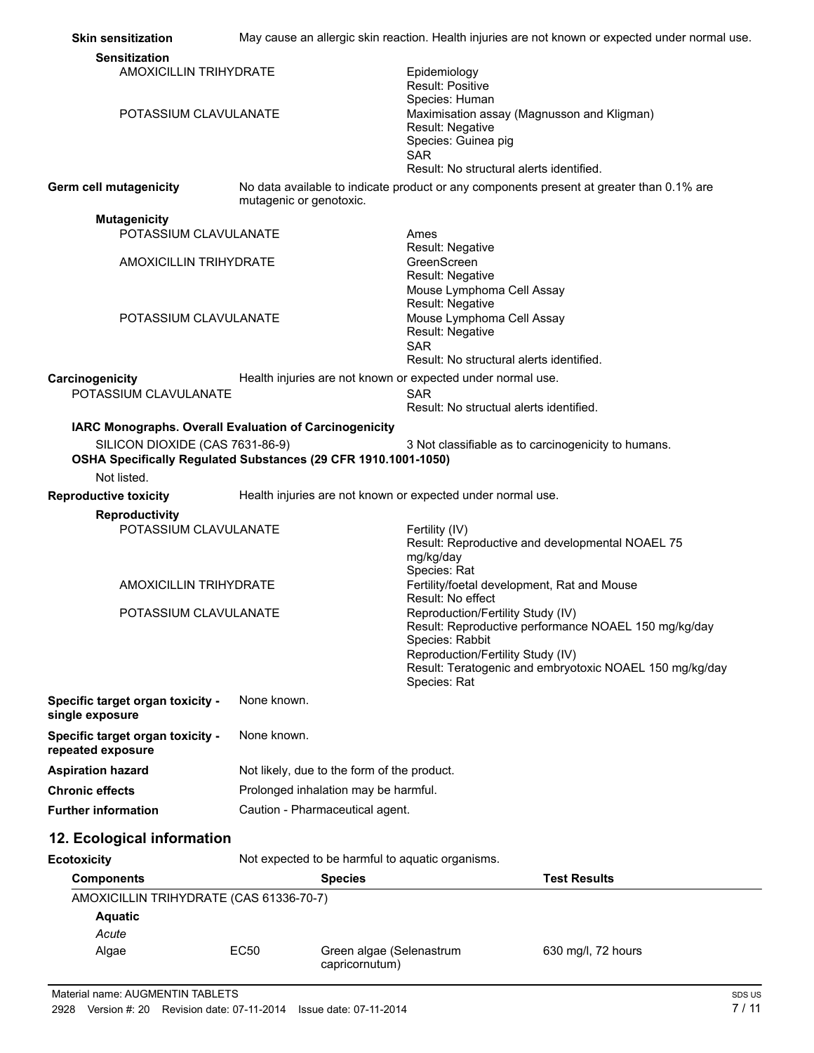| <b>Skin sensitization</b>                                                                                                                                                  |                                 | May cause an allergic skin reaction. Health injuries are not known or expected under normal use.                                                                                                                             |  |
|----------------------------------------------------------------------------------------------------------------------------------------------------------------------------|---------------------------------|------------------------------------------------------------------------------------------------------------------------------------------------------------------------------------------------------------------------------|--|
| <b>Sensitization</b>                                                                                                                                                       |                                 |                                                                                                                                                                                                                              |  |
| <b>AMOXICILLIN TRIHYDRATE</b>                                                                                                                                              |                                 | Epidemiology<br><b>Result: Positive</b><br>Species: Human                                                                                                                                                                    |  |
| POTASSIUM CLAVULANATE                                                                                                                                                      |                                 | Maximisation assay (Magnusson and Kligman)<br>Result: Negative<br>Species: Guinea pig<br><b>SAR</b><br>Result: No structural alerts identified.                                                                              |  |
| Germ cell mutagenicity                                                                                                                                                     | mutagenic or genotoxic.         | No data available to indicate product or any components present at greater than 0.1% are                                                                                                                                     |  |
| <b>Mutagenicity</b>                                                                                                                                                        |                                 |                                                                                                                                                                                                                              |  |
| POTASSIUM CLAVULANATE                                                                                                                                                      |                                 | Ames                                                                                                                                                                                                                         |  |
| <b>AMOXICILLIN TRIHYDRATE</b>                                                                                                                                              |                                 | Result: Negative<br>GreenScreen<br>Result: Negative                                                                                                                                                                          |  |
| POTASSIUM CLAVULANATE                                                                                                                                                      |                                 | Mouse Lymphoma Cell Assay<br>Result: Negative<br>Mouse Lymphoma Cell Assay<br>Result: Negative<br><b>SAR</b><br>Result: No structural alerts identified.                                                                     |  |
| Carcinogenicity                                                                                                                                                            |                                 | Health injuries are not known or expected under normal use.                                                                                                                                                                  |  |
| POTASSIUM CLAVULANATE                                                                                                                                                      |                                 | <b>SAR</b>                                                                                                                                                                                                                   |  |
|                                                                                                                                                                            |                                 | Result: No structual alerts identified.                                                                                                                                                                                      |  |
| IARC Monographs. Overall Evaluation of Carcinogenicity<br>SILICON DIOXIDE (CAS 7631-86-9)<br>OSHA Specifically Regulated Substances (29 CFR 1910.1001-1050)<br>Not listed. |                                 | 3 Not classifiable as to carcinogenicity to humans.                                                                                                                                                                          |  |
| <b>Reproductive toxicity</b>                                                                                                                                               |                                 | Health injuries are not known or expected under normal use.                                                                                                                                                                  |  |
| <b>Reproductivity</b><br>POTASSIUM CLAVULANATE                                                                                                                             |                                 | Fertility (IV)<br>Result: Reproductive and developmental NOAEL 75                                                                                                                                                            |  |
| <b>AMOXICILLIN TRIHYDRATE</b>                                                                                                                                              |                                 | mg/kg/day<br>Species: Rat<br>Fertility/foetal development, Rat and Mouse                                                                                                                                                     |  |
|                                                                                                                                                                            |                                 | Result: No effect                                                                                                                                                                                                            |  |
| POTASSIUM CLAVULANATE                                                                                                                                                      |                                 | Reproduction/Fertility Study (IV)<br>Result: Reproductive performance NOAEL 150 mg/kg/day<br>Species: Rabbit<br>Reproduction/Fertility Study (IV)<br>Result: Teratogenic and embryotoxic NOAEL 150 mg/kg/day<br>Species: Rat |  |
| Specific target organ toxicity -<br>single exposure                                                                                                                        | None known.                     |                                                                                                                                                                                                                              |  |
| Specific target organ toxicity -<br>repeated exposure                                                                                                                      | None known.                     |                                                                                                                                                                                                                              |  |
| <b>Aspiration hazard</b>                                                                                                                                                   |                                 | Not likely, due to the form of the product.                                                                                                                                                                                  |  |
| <b>Chronic effects</b>                                                                                                                                                     |                                 | Prolonged inhalation may be harmful.                                                                                                                                                                                         |  |
| <b>Further information</b>                                                                                                                                                 | Caution - Pharmaceutical agent. |                                                                                                                                                                                                                              |  |
| 12. Ecological information                                                                                                                                                 |                                 |                                                                                                                                                                                                                              |  |
| <b>Ecotoxicity</b>                                                                                                                                                         |                                 | Not expected to be harmful to aquatic organisms.                                                                                                                                                                             |  |
| <b>Components</b>                                                                                                                                                          |                                 | <b>Test Results</b><br><b>Species</b>                                                                                                                                                                                        |  |
| AMOXICILLIN TRIHYDRATE (CAS 61336-70-7)                                                                                                                                    |                                 |                                                                                                                                                                                                                              |  |
| <b>Aquatic</b>                                                                                                                                                             |                                 |                                                                                                                                                                                                                              |  |
| Acute<br>Algae                                                                                                                                                             | EC50                            | Green algae (Selenastrum<br>630 mg/l, 72 hours<br>capricornutum)                                                                                                                                                             |  |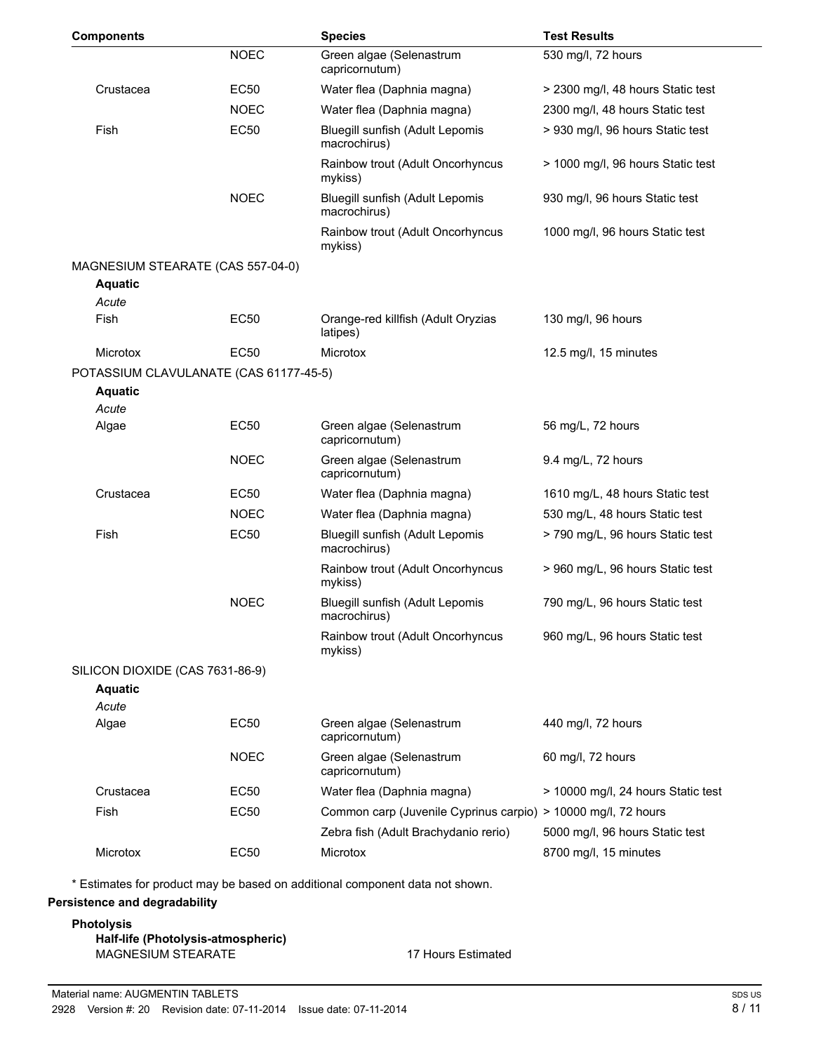| <b>Components</b>               |                                        | <b>Species</b>                                                | <b>Test Results</b>                |
|---------------------------------|----------------------------------------|---------------------------------------------------------------|------------------------------------|
|                                 | <b>NOEC</b>                            | Green algae (Selenastrum<br>capricornutum)                    | 530 mg/l, 72 hours                 |
| Crustacea                       | <b>EC50</b>                            | Water flea (Daphnia magna)                                    | > 2300 mg/l, 48 hours Static test  |
|                                 | <b>NOEC</b>                            | Water flea (Daphnia magna)                                    | 2300 mg/l, 48 hours Static test    |
| Fish                            | <b>EC50</b>                            | Bluegill sunfish (Adult Lepomis<br>macrochirus)               | > 930 mg/l, 96 hours Static test   |
|                                 |                                        | Rainbow trout (Adult Oncorhyncus<br>mykiss)                   | > 1000 mg/l, 96 hours Static test  |
|                                 | <b>NOEC</b>                            | Bluegill sunfish (Adult Lepomis<br>macrochirus)               | 930 mg/l, 96 hours Static test     |
|                                 |                                        | Rainbow trout (Adult Oncorhyncus<br>mykiss)                   | 1000 mg/l, 96 hours Static test    |
|                                 | MAGNESIUM STEARATE (CAS 557-04-0)      |                                                               |                                    |
| <b>Aquatic</b>                  |                                        |                                                               |                                    |
| Acute<br>Fish                   | <b>EC50</b>                            | Orange-red killfish (Adult Oryzias<br>latipes)                | 130 mg/l, 96 hours                 |
| Microtox                        | <b>EC50</b>                            | Microtox                                                      | 12.5 mg/l, 15 minutes              |
|                                 | POTASSIUM CLAVULANATE (CAS 61177-45-5) |                                                               |                                    |
| <b>Aquatic</b>                  |                                        |                                                               |                                    |
| Acute                           |                                        |                                                               |                                    |
| Algae                           | <b>EC50</b>                            | Green algae (Selenastrum<br>capricornutum)                    | 56 mg/L, 72 hours                  |
|                                 | <b>NOEC</b>                            | Green algae (Selenastrum<br>capricornutum)                    | 9.4 mg/L, 72 hours                 |
| Crustacea                       | <b>EC50</b>                            | Water flea (Daphnia magna)                                    | 1610 mg/L, 48 hours Static test    |
|                                 | <b>NOEC</b>                            | Water flea (Daphnia magna)                                    | 530 mg/L, 48 hours Static test     |
| Fish                            | <b>EC50</b>                            | Bluegill sunfish (Adult Lepomis<br>macrochirus)               | > 790 mg/L, 96 hours Static test   |
|                                 |                                        | Rainbow trout (Adult Oncorhyncus<br>mykiss)                   | > 960 mg/L, 96 hours Static test   |
|                                 | <b>NOEC</b>                            | Bluegill sunfish (Adult Lepomis<br>macrochirus)               | 790 mg/L, 96 hours Static test     |
|                                 |                                        | Rainbow trout (Adult Oncorhyncus<br>mykiss)                   | 960 mg/L, 96 hours Static test     |
| SILICON DIOXIDE (CAS 7631-86-9) |                                        |                                                               |                                    |
| <b>Aquatic</b>                  |                                        |                                                               |                                    |
| Acute<br>Algae                  | <b>EC50</b>                            | Green algae (Selenastrum                                      | 440 mg/l, 72 hours                 |
|                                 |                                        | capricornutum)                                                |                                    |
|                                 | <b>NOEC</b>                            | Green algae (Selenastrum<br>capricornutum)                    | 60 mg/l, 72 hours                  |
| Crustacea                       | EC50                                   | Water flea (Daphnia magna)                                    | > 10000 mg/l, 24 hours Static test |
| Fish                            | <b>EC50</b>                            | Common carp (Juvenile Cyprinus carpio) > 10000 mg/l, 72 hours |                                    |
|                                 |                                        | Zebra fish (Adult Brachydanio rerio)                          | 5000 mg/l, 96 hours Static test    |
| Microtox                        | EC50                                   | Microtox                                                      | 8700 mg/l, 15 minutes              |

\* Estimates for product may be based on additional component data not shown.

#### **Persistence and degradability**

#### **Photolysis Half-life (Photolysis-atmospheric)** MAGNESIUM STEARATE 17 Hours Estimated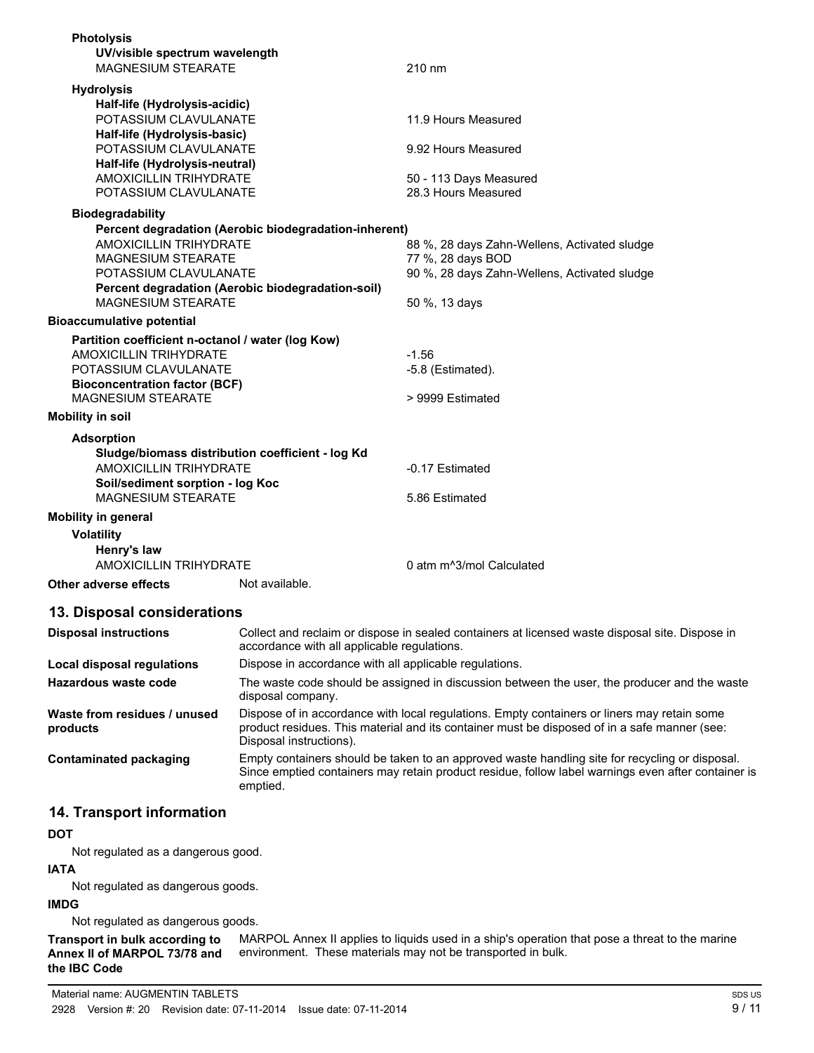| <b>Photolysis</b>                                                              |                                              |
|--------------------------------------------------------------------------------|----------------------------------------------|
| UV/visible spectrum wavelength                                                 |                                              |
| <b>MAGNESIUM STEARATE</b>                                                      | 210 nm                                       |
| <b>Hydrolysis</b>                                                              |                                              |
| Half-life (Hydrolysis-acidic)                                                  |                                              |
| POTASSIUM CLAVULANATE                                                          | 11.9 Hours Measured                          |
| Half-life (Hydrolysis-basic)                                                   |                                              |
| POTASSIUM CLAVULANATE                                                          | 9.92 Hours Measured                          |
| Half-life (Hydrolysis-neutral)                                                 |                                              |
| AMOXICILLIN TRIHYDRATE                                                         | 50 - 113 Days Measured                       |
| POTASSIUM CLAVULANATE                                                          | 28.3 Hours Measured                          |
| <b>Biodegradability</b>                                                        |                                              |
| Percent degradation (Aerobic biodegradation-inherent)                          |                                              |
| <b>AMOXICILLIN TRIHYDRATE</b>                                                  | 88 %, 28 days Zahn-Wellens, Activated sludge |
| <b>MAGNESIUM STEARATE</b>                                                      | 77 %, 28 days BOD                            |
| POTASSIUM CLAVULANATE                                                          | 90 %, 28 days Zahn-Wellens, Activated sludge |
| Percent degradation (Aerobic biodegradation-soil)<br><b>MAGNESIUM STEARATE</b> | 50 %, 13 days                                |
|                                                                                |                                              |
| <b>Bioaccumulative potential</b>                                               |                                              |
| Partition coefficient n-octanol / water (log Kow)                              |                                              |
| <b>AMOXICILLIN TRIHYDRATE</b>                                                  | $-1.56$                                      |
| POTASSIUM CLAVULANATE                                                          | -5.8 (Estimated).                            |
| <b>Bioconcentration factor (BCF)</b><br><b>MAGNESIUM STEARATE</b>              | > 9999 Estimated                             |
|                                                                                |                                              |
| <b>Mobility in soil</b>                                                        |                                              |
| <b>Adsorption</b>                                                              |                                              |
| Sludge/biomass distribution coefficient - log Kd                               |                                              |
| <b>AMOXICILLIN TRIHYDRATE</b>                                                  | -0.17 Estimated                              |
| Soil/sediment sorption - log Koc                                               |                                              |
| <b>MAGNESIUM STEARATE</b>                                                      | 5.86 Estimated                               |
| <b>Mobility in general</b>                                                     |                                              |
| <b>Volatility</b>                                                              |                                              |
| Henry's law                                                                    |                                              |
| <b>AMOXICILLIN TRIHYDRATE</b>                                                  | 0 atm m <sup>^3</sup> /mol Calculated        |
| Other adverse effects<br>Not available.                                        |                                              |
| 13. Disposal considerations                                                    |                                              |

| <b>Disposal instructions</b>             | Collect and reclaim or dispose in sealed containers at licensed waste disposal site. Dispose in<br>accordance with all applicable regulations.                                                                         |
|------------------------------------------|------------------------------------------------------------------------------------------------------------------------------------------------------------------------------------------------------------------------|
| Local disposal regulations               | Dispose in accordance with all applicable regulations.                                                                                                                                                                 |
| Hazardous waste code                     | The waste code should be assigned in discussion between the user, the producer and the waste<br>disposal company.                                                                                                      |
| Waste from residues / unused<br>products | Dispose of in accordance with local regulations. Empty containers or liners may retain some<br>product residues. This material and its container must be disposed of in a safe manner (see:<br>Disposal instructions). |
| Contaminated packaging                   | Empty containers should be taken to an approved waste handling site for recycling or disposal.<br>Since emptied containers may retain product residue, follow label warnings even after container is<br>emptied.       |

## **14. Transport information**

### **DOT**

Not regulated as a dangerous good.

# **IATA**

Not regulated as dangerous goods.

### **IMDG**

Not regulated as dangerous goods.

MARPOL Annex II applies to liquids used in a ship's operation that pose a threat to the marine environment. These materials may not be transported in bulk. **Transport in bulk according to Annex II of MARPOL 73/78 and the IBC Code**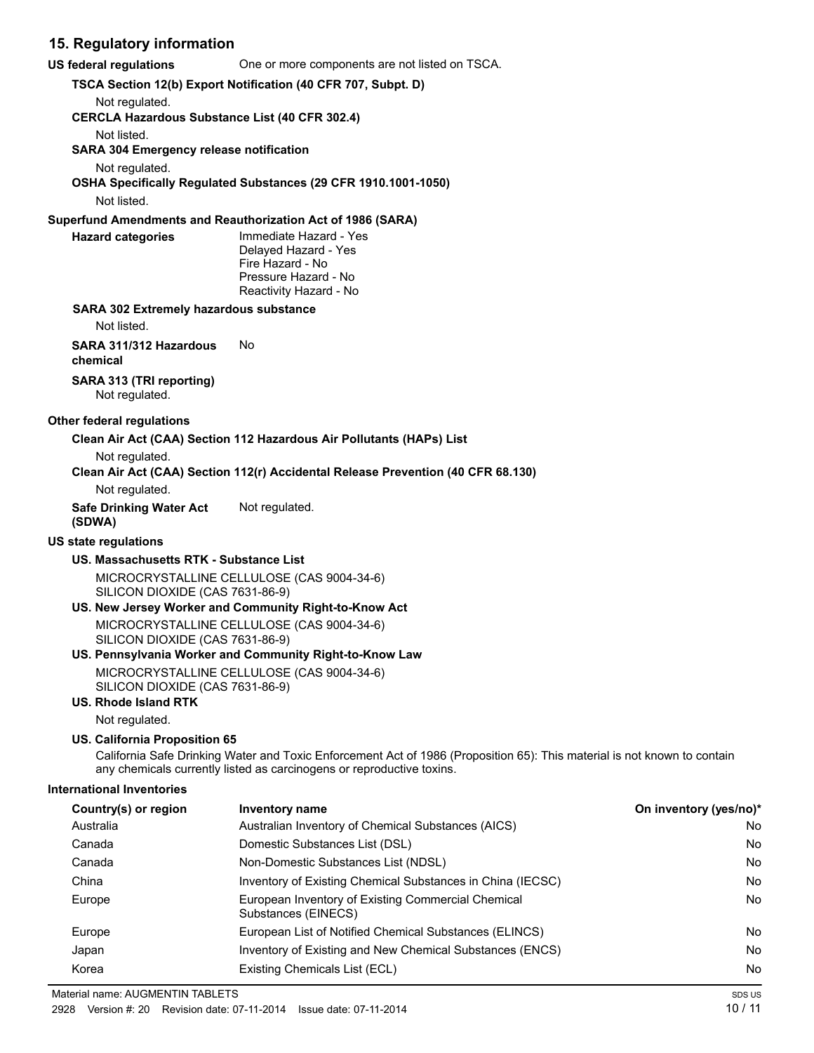## **15. Regulatory information**

| 15. Regulatory information                                    |                                                                                                                                                                                                   |                        |
|---------------------------------------------------------------|---------------------------------------------------------------------------------------------------------------------------------------------------------------------------------------------------|------------------------|
| <b>US federal regulations</b>                                 | One or more components are not listed on TSCA.                                                                                                                                                    |                        |
|                                                               | TSCA Section 12(b) Export Notification (40 CFR 707, Subpt. D)                                                                                                                                     |                        |
| Not regulated.                                                |                                                                                                                                                                                                   |                        |
| <b>CERCLA Hazardous Substance List (40 CFR 302.4)</b>         |                                                                                                                                                                                                   |                        |
| Not listed.<br><b>SARA 304 Emergency release notification</b> |                                                                                                                                                                                                   |                        |
| Not regulated.                                                | OSHA Specifically Regulated Substances (29 CFR 1910.1001-1050)                                                                                                                                    |                        |
| Not listed.                                                   |                                                                                                                                                                                                   |                        |
|                                                               | Superfund Amendments and Reauthorization Act of 1986 (SARA)                                                                                                                                       |                        |
| <b>Hazard categories</b>                                      | Immediate Hazard - Yes<br>Delayed Hazard - Yes<br>Fire Hazard - No<br>Pressure Hazard - No<br>Reactivity Hazard - No                                                                              |                        |
| SARA 302 Extremely hazardous substance                        |                                                                                                                                                                                                   |                        |
| Not listed.                                                   |                                                                                                                                                                                                   |                        |
| SARA 311/312 Hazardous<br>chemical                            | No                                                                                                                                                                                                |                        |
| SARA 313 (TRI reporting)<br>Not regulated.                    |                                                                                                                                                                                                   |                        |
| Other federal regulations                                     |                                                                                                                                                                                                   |                        |
|                                                               | Clean Air Act (CAA) Section 112 Hazardous Air Pollutants (HAPs) List                                                                                                                              |                        |
| Not regulated.                                                |                                                                                                                                                                                                   |                        |
|                                                               | Clean Air Act (CAA) Section 112(r) Accidental Release Prevention (40 CFR 68.130)                                                                                                                  |                        |
| Not regulated.                                                |                                                                                                                                                                                                   |                        |
| <b>Safe Drinking Water Act</b><br>(SDWA)                      | Not regulated.                                                                                                                                                                                    |                        |
| <b>US state regulations</b>                                   |                                                                                                                                                                                                   |                        |
| US. Massachusetts RTK - Substance List                        |                                                                                                                                                                                                   |                        |
| SILICON DIOXIDE (CAS 7631-86-9)                               | MICROCRYSTALLINE CELLULOSE (CAS 9004-34-6)                                                                                                                                                        |                        |
|                                                               | US. New Jersey Worker and Community Right-to-Know Act                                                                                                                                             |                        |
| SILICON DIOXIDE (CAS 7631-86-9)                               | MICROCRYSTALLINE CELLULOSE (CAS 9004-34-6)                                                                                                                                                        |                        |
|                                                               | US. Pennsylvania Worker and Community Right-to-Know Law                                                                                                                                           |                        |
| SILICON DIOXIDE (CAS 7631-86-9)<br>US. Rhode Island RTK       | MICROCRYSTALLINE CELLULOSE (CAS 9004-34-6)                                                                                                                                                        |                        |
| Not regulated.                                                |                                                                                                                                                                                                   |                        |
| US. California Proposition 65                                 |                                                                                                                                                                                                   |                        |
|                                                               | California Safe Drinking Water and Toxic Enforcement Act of 1986 (Proposition 65): This material is not known to contain<br>any chemicals currently listed as carcinogens or reproductive toxins. |                        |
| <b>International Inventories</b>                              |                                                                                                                                                                                                   |                        |
| Country(s) or region                                          | Inventory name                                                                                                                                                                                    | On inventory (yes/no)* |
| Australia                                                     | Australian Inventory of Chemical Substances (AICS)                                                                                                                                                | No.                    |
| Canada                                                        | Domestic Substances List (DSL)                                                                                                                                                                    | No.                    |
| Canada                                                        | Non-Domestic Substances List (NDSL)                                                                                                                                                               | No.                    |
| China                                                         | Inventory of Existing Chemical Substances in China (IECSC)                                                                                                                                        | No.                    |

Europe **European Inventory of Existing Commercial Chemical Chemical Chemical Chemical Chemical Chemical Chemical No** 

Europe **European List of Notified Chemical Substances (ELINCS)** No Notice Note **No. 1998** No. Japan Inventory of Existing and New Chemical Substances (ENCS) No No Korea **Existing Chemicals List (ECL)** No Review And The Mondo Chemicals List (ECL) No Review And The Mondo Chemicals List (ECL) No Review And The Mondo Chemicals List (ECL) No Review And The Mondo Chemicals List (ECL) No R

Substances (EINECS)